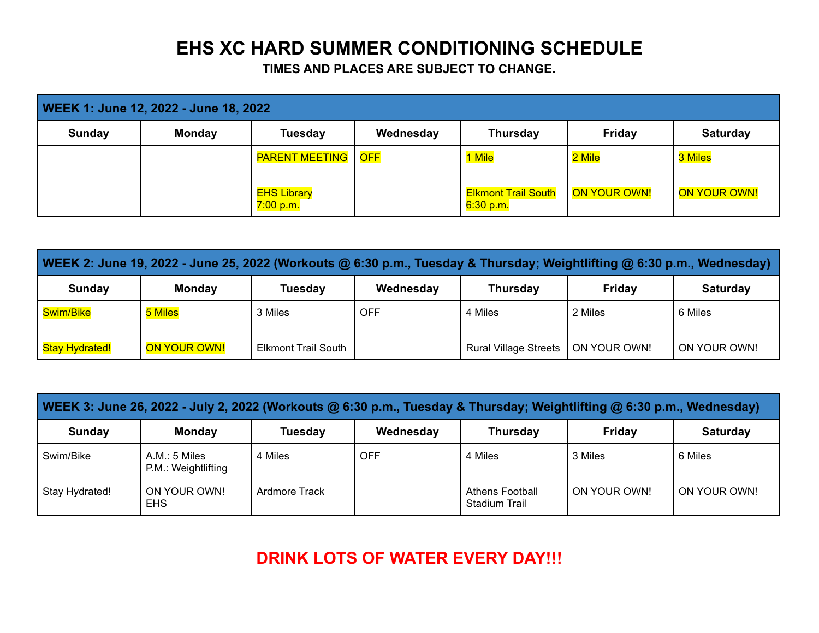## **EHS XC HARD SUMMER CONDITIONING SCHEDULE**

**TIMES AND PLACES ARE SUBJECT TO CHANGE.**

| WEEK 1: June 12, 2022 - June 18, 2022 |               |                                 |           |                                         |              |                 |  |  |
|---------------------------------------|---------------|---------------------------------|-----------|-----------------------------------------|--------------|-----------------|--|--|
| Sunday                                | <b>Monday</b> | <b>Tuesday</b>                  | Wednesday | <b>Thursday</b>                         | Friday       | <b>Saturday</b> |  |  |
|                                       |               | <b>PARENT MEETING   OFF</b>     |           | 1 Mile                                  | 2 Mile       | 3 Miles         |  |  |
|                                       |               | <b>EHS Library</b><br>7:00 p.m. |           | <b>Elkmont Trail South</b><br>6:30 p.m. | ON YOUR OWN! | ON YOUR OWN!    |  |  |

| WEEK 2: June 19, 2022 - June 25, 2022 (Workouts @ 6:30 p.m., Tuesday & Thursday; Weightlifting @ 6:30 p.m., Wednesday) |               |                            |           |                              |              |                 |  |  |
|------------------------------------------------------------------------------------------------------------------------|---------------|----------------------------|-----------|------------------------------|--------------|-----------------|--|--|
| <b>Sunday</b>                                                                                                          | <b>Monday</b> | Tuesdav                    | Wednesday | <b>Thursday</b>              | Friday       | <b>Saturday</b> |  |  |
| Swim/Bike                                                                                                              | 5 Miles       | 3 Miles                    | OFF       | 4 Miles                      | 2 Miles      | 6 Miles         |  |  |
| Stay Hydrated!                                                                                                         | ON YOUR OWN!  | <b>Elkmont Trail South</b> |           | <b>Rural Village Streets</b> | ON YOUR OWN! | ON YOUR OWN!    |  |  |

| WEEK 3: June 26, 2022 - July 2, 2022 (Workouts @ 6:30 p.m., Tuesday & Thursday; Weightlifting @ 6:30 p.m., Wednesday) |                                      |                |            |                                         |              |                 |  |  |
|-----------------------------------------------------------------------------------------------------------------------|--------------------------------------|----------------|------------|-----------------------------------------|--------------|-----------------|--|--|
| Sunday                                                                                                                | <b>Monday</b>                        | <b>Tuesday</b> | Wednesday  | <b>Thursday</b>                         | Friday       | <b>Saturday</b> |  |  |
| Swim/Bike                                                                                                             | A.M.: 5 Miles<br>P.M.: Weightlifting | 4 Miles        | <b>OFF</b> | 4 Miles                                 | 3 Miles      | 6 Miles         |  |  |
| Stay Hydrated!                                                                                                        | ON YOUR OWN!<br><b>EHS</b>           | Ardmore Track  |            | <b>Athens Football</b><br>Stadium Trail | ON YOUR OWN! | ON YOUR OWN!    |  |  |

**DRINK LOTS OF WATER EVERY DAY!!!**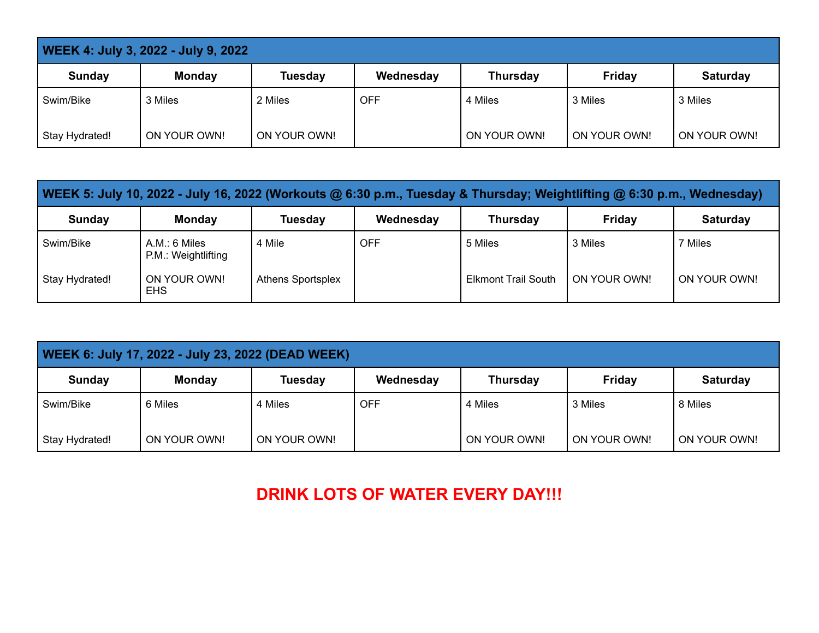| <b>WEEK 4: July 3, 2022 - July 9, 2022</b> |               |                |            |                 |               |                 |  |  |
|--------------------------------------------|---------------|----------------|------------|-----------------|---------------|-----------------|--|--|
| Sunday                                     | <b>Monday</b> | <b>Tuesday</b> | Wednesday  | <b>Thursday</b> | <b>Friday</b> | <b>Saturday</b> |  |  |
| Swim/Bike                                  | 3 Miles       | 2 Miles        | <b>OFF</b> | 4 Miles         | 3 Miles       | 3 Miles         |  |  |
| Stay Hydrated!                             | ON YOUR OWN!  | ON YOUR OWN!   |            | ON YOUR OWN!    | ON YOUR OWN!  | ON YOUR OWN!    |  |  |

| WEEK 5: July 10, 2022 - July 16, 2022 (Workouts @ 6:30 p.m., Tuesday & Thursday; Weightlifting @ 6:30 p.m., Wednesday) |                                      |                          |           |                            |                |                 |  |  |
|------------------------------------------------------------------------------------------------------------------------|--------------------------------------|--------------------------|-----------|----------------------------|----------------|-----------------|--|--|
| Sunday                                                                                                                 | <b>Monday</b>                        | <b>Tuesday</b>           | Wednesday | <b>Thursday</b>            | Friday         | <b>Saturday</b> |  |  |
| Swim/Bike                                                                                                              | A.M.: 6 Miles<br>P.M.: Weightlifting | 4 Mile                   | OFF       | 5 Miles                    | 3 Miles        | 7 Miles         |  |  |
| Stay Hydrated!                                                                                                         | ON YOUR OWN!<br><b>EHS</b>           | <b>Athens Sportsplex</b> |           | <b>Elkmont Trail South</b> | l ON YOUR OWN! | ON YOUR OWN!    |  |  |

| WEEK 6: July 17, 2022 - July 23, 2022 (DEAD WEEK) |               |                |            |                 |               |                 |  |  |
|---------------------------------------------------|---------------|----------------|------------|-----------------|---------------|-----------------|--|--|
| Sunday                                            | <b>Monday</b> | <b>Tuesday</b> | Wednesday  | <b>Thursday</b> | <b>Friday</b> | <b>Saturday</b> |  |  |
| Swim/Bike                                         | 6 Miles       | 4 Miles        | <b>OFF</b> | 4 Miles         | 3 Miles       | 8 Miles         |  |  |
| Stay Hydrated!                                    | ON YOUR OWN!  | ON YOUR OWN!   |            | ON YOUR OWN!    | ON YOUR OWN!  | ON YOUR OWN!    |  |  |

## **DRINK LOTS OF WATER EVERY DAY!!!**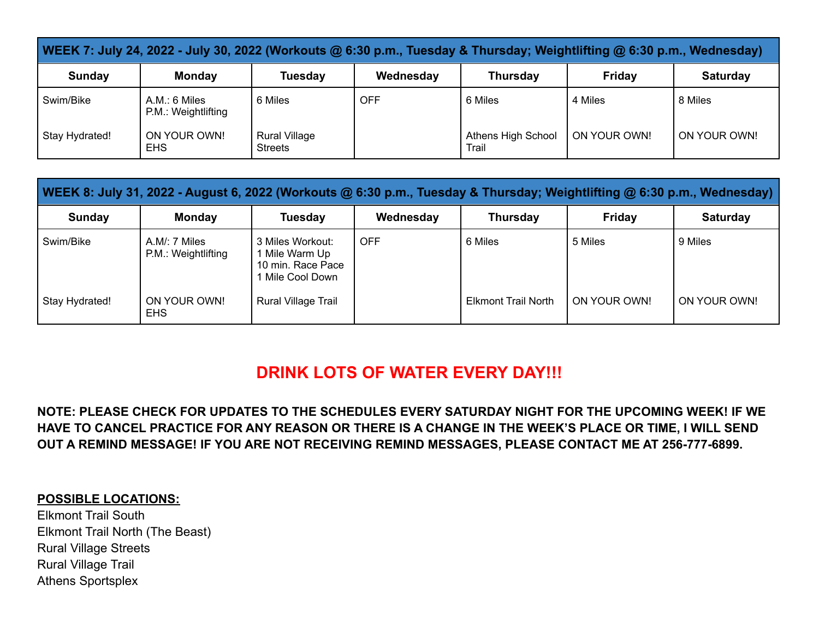| WEEK 7: July 24, 2022 - July 30, 2022 (Workouts @ 6:30 p.m., Tuesday & Thursday; Weightlifting @ 6:30 p.m., Wednesday) |                                      |                                        |            |                             |              |                 |  |  |
|------------------------------------------------------------------------------------------------------------------------|--------------------------------------|----------------------------------------|------------|-----------------------------|--------------|-----------------|--|--|
| Sunday                                                                                                                 | <b>Monday</b>                        | <b>Tuesday</b>                         | Wednesday  | <b>Thursday</b>             | Fridav       | <b>Saturday</b> |  |  |
| Swim/Bike                                                                                                              | A.M.: 6 Miles<br>P.M.: Weightlifting | 6 Miles                                | <b>OFF</b> | 6 Miles                     | 4 Miles      | 8 Miles         |  |  |
| Stay Hydrated!                                                                                                         | ON YOUR OWN!<br><b>EHS</b>           | <b>Rural Village</b><br><b>Streets</b> |            | Athens High School<br>Trail | ON YOUR OWN! | ON YOUR OWN!    |  |  |

| WEEK 8: July 31, 2022 - August 6, 2022 (Workouts @ 6:30 p.m., Tuesday & Thursday; Weightlifting @ 6:30 p.m., Wednesday) |                                      |                                                                           |            |                            |              |                 |  |  |
|-------------------------------------------------------------------------------------------------------------------------|--------------------------------------|---------------------------------------------------------------------------|------------|----------------------------|--------------|-----------------|--|--|
| Sunday                                                                                                                  | <b>Monday</b>                        | <b>Tuesday</b>                                                            | Wednesday  | <b>Thursday</b>            | Friday       | <b>Saturday</b> |  |  |
| Swim/Bike                                                                                                               | A.M/: 7 Miles<br>P.M.: Weightlifting | 3 Miles Workout:<br>1 Mile Warm Up<br>10 min. Race Pace<br>Mile Cool Down | <b>OFF</b> | 6 Miles                    | 5 Miles      | 9 Miles         |  |  |
| Stay Hydrated!                                                                                                          | ON YOUR OWN!<br><b>EHS</b>           | Rural Village Trail                                                       |            | <b>Elkmont Trail North</b> | ON YOUR OWN! | ON YOUR OWN!    |  |  |

## **DRINK LOTS OF WATER EVERY DAY!!!**

**NOTE: PLEASE CHECK FOR UPDATES TO THE SCHEDULES EVERY SATURDAY NIGHT FOR THE UPCOMING WEEK! IF WE HAVE TO CANCEL PRACTICE FOR ANY REASON OR THERE IS A CHANGE IN THE WEEK'S PLACE OR TIME, I WILL SEND OUT A REMIND MESSAGE! IF YOU ARE NOT RECEIVING REMIND MESSAGES, PLEASE CONTACT ME AT 256-777-6899.**

## **POSSIBLE LOCATIONS:**

Elkmont Trail South Elkmont Trail North (The Beast) Rural Village Streets Rural Village Trail Athens Sportsplex